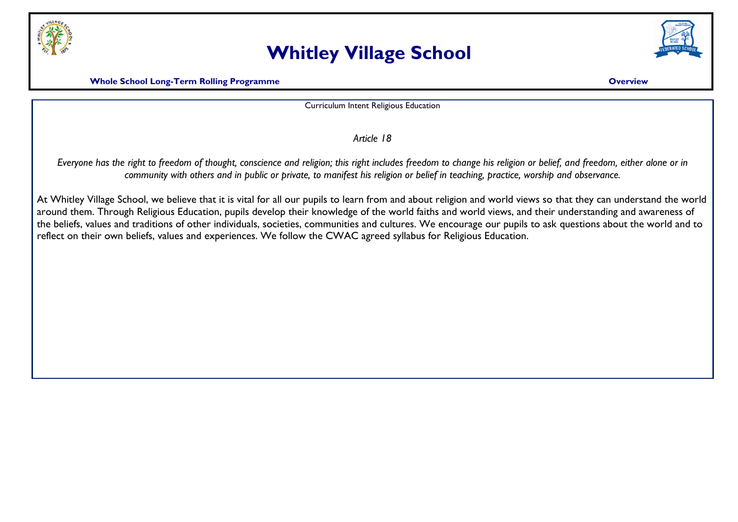

## **Whitley Village School**



**Whole School Long-Term Rolling Programme Construction Construction Construction Construction Construction Construction Construction Construction Construction Construction Construction Construction Construction Constructio** 

Curriculum Intent Religious Education

*Article 18*

*Everyone has the right to freedom of thought, conscience and religion; this right includes freedom to change his religion or belief, and freedom, either alone or in community with others and in public or private, to manifest his religion or belief in teaching, practice, worship and observance.*

At Whitley Village School, we believe that it is vital for all our pupils to learn from and about religion and world views so that they can understand the world around them. Through Religious Education, pupils develop their knowledge of the world faiths and world views, and their understanding and awareness of the beliefs, values and traditions of other individuals, societies, communities and cultures. We encourage our pupils to ask questions about the world and to reflect on their own beliefs, values and experiences. We follow the CWAC agreed syllabus for Religious Education.